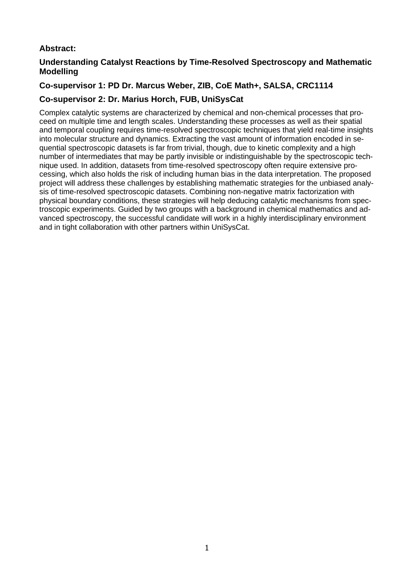# **Abstract:**

## **Understanding Catalyst Reactions by Time-Resolved Spectroscopy and Mathematic Modelling**

## **Co-supervisor 1: PD Dr. Marcus Weber, ZIB, CoE Math+, SALSA, CRC1114**

## **Co-supervisor 2: Dr. Marius Horch, FUB, UniSysCat**

Complex catalytic systems are characterized by chemical and non-chemical processes that proceed on multiple time and length scales. Understanding these processes as well as their spatial and temporal coupling requires time-resolved spectroscopic techniques that yield real-time insights into molecular structure and dynamics. Extracting the vast amount of information encoded in sequential spectroscopic datasets is far from trivial, though, due to kinetic complexity and a high number of intermediates that may be partly invisible or indistinguishable by the spectroscopic technique used. In addition, datasets from time-resolved spectroscopy often require extensive processing, which also holds the risk of including human bias in the data interpretation. The proposed project will address these challenges by establishing mathematic strategies for the unbiased analysis of time-resolved spectroscopic datasets. Combining non-negative matrix factorization with physical boundary conditions, these strategies will help deducing catalytic mechanisms from spectroscopic experiments. Guided by two groups with a background in chemical mathematics and advanced spectroscopy, the successful candidate will work in a highly interdisciplinary environment and in tight collaboration with other partners within UniSysCat.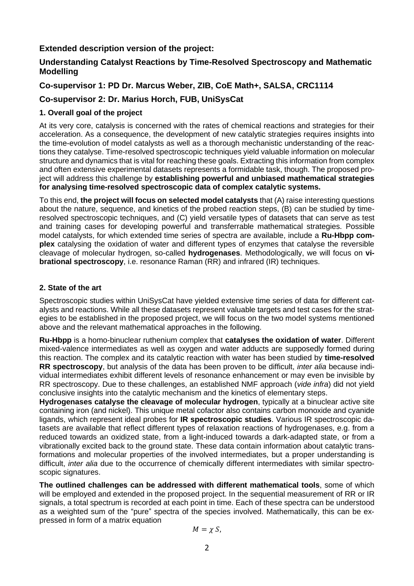## **Extended description version of the project:**

## **Understanding Catalyst Reactions by Time-Resolved Spectroscopy and Mathematic Modelling**

# **Co-supervisor 1: PD Dr. Marcus Weber, ZIB, CoE Math+, SALSA, CRC1114**

# **Co-supervisor 2: Dr. Marius Horch, FUB, UniSysCat**

#### **1. Overall goal of the project**

At its very core, catalysis is concerned with the rates of chemical reactions and strategies for their acceleration. As a consequence, the development of new catalytic strategies requires insights into the time-evolution of model catalysts as well as a thorough mechanistic understanding of the reactions they catalyse. Time-resolved spectroscopic techniques yield valuable information on molecular structure and dynamics that is vital for reaching these goals. Extracting this information from complex and often extensive experimental datasets represents a formidable task, though. The proposed project will address this challenge by **establishing powerful and unbiased mathematical strategies for analysing time-resolved spectroscopic data of complex catalytic systems.**

To this end, **the project will focus on selected model catalysts** that (A) raise interesting questions about the nature, sequence, and kinetics of the probed reaction steps, (B) can be studied by timeresolved spectroscopic techniques, and (C) yield versatile types of datasets that can serve as test and training cases for developing powerful and transferrable mathematical strategies. Possible model catalysts, for which extended time series of spectra are available, include a **Ru-Hbpp complex** catalysing the oxidation of water and different types of enzymes that catalyse the reversible cleavage of molecular hydrogen, so-called **hydrogenases**. Methodologically, we will focus on **vibrational spectroscopy**, i.e. resonance Raman (RR) and infrared (IR) techniques.

#### **2. State of the art**

Spectroscopic studies within UniSysCat have yielded extensive time series of data for different catalysts and reactions. While all these datasets represent valuable targets and test cases for the strategies to be established in the proposed project, we will focus on the two model systems mentioned above and the relevant mathematical approaches in the following.

**Ru-Hbpp** is a homo-binuclear ruthenium complex that **catalyses the oxidation of water**. Different mixed-valence intermediates as well as oxygen and water adducts are supposedly formed during this reaction. The complex and its catalytic reaction with water has been studied by **time-resolved RR spectroscopy**, but analysis of the data has been proven to be difficult, *inter alia* because individual intermediates exhibit different levels of resonance enhancement or may even be invisible by RR spectroscopy. Due to these challenges, an established NMF approach (*vide infra*) did not yield conclusive insights into the catalytic mechanism and the kinetics of elementary steps.

**Hydrogenases catalyse the cleavage of molecular hydrogen**, typically at a binuclear active site containing iron (and nickel). This unique metal cofactor also contains carbon monoxide and cyanide ligands, which represent ideal probes for **IR spectroscopic studies**. Various IR spectroscopic datasets are available that reflect different types of relaxation reactions of hydrogenases, e.g. from a reduced towards an oxidized state, from a light-induced towards a dark-adapted state, or from a vibrationally excited back to the ground state. These data contain information about catalytic transformations and molecular properties of the involved intermediates, but a proper understanding is difficult, *inter alia* due to the occurrence of chemically different intermediates with similar spectroscopic signatures.

**The outlined challenges can be addressed with different mathematical tools**, some of which will be employed and extended in the proposed project. In the sequential measurement of RR or IR signals, a total spectrum is recorded at each point in time. Each of these spectra can be understood as a weighted sum of the "pure" spectra of the species involved. Mathematically, this can be expressed in form of a matrix equation

$$
M=\chi S,
$$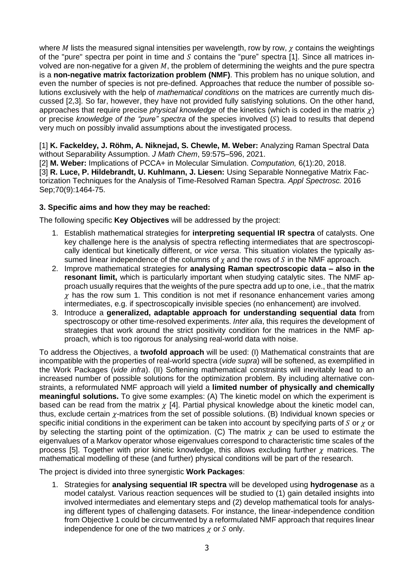where  $M$  lists the measured signal intensities per wavelength, row by row,  $\chi$  contains the weightings of the "pure" spectra per point in time and  $S$  contains the "pure" spectra [1]. Since all matrices involved are non-negative for a given  $M$ , the problem of determining the weights and the pure spectra is a **non-negative matrix factorization problem (NMF)**. This problem has no unique solution, and even the number of species is not pre-defined. Approaches that reduce the number of possible solutions exclusively with the help of *mathematical conditions* on the matrices are currently much discussed [2,3]. So far, however, they have not provided fully satisfying solutions. On the other hand, approaches that require precise *physical knowledge* of the kinetics (which is coded in the matrix  $\chi$ ) or precise *knowledge of the "pure" spectra* of the species involved (S) lead to results that depend very much on possibly invalid assumptions about the investigated process.

[1] **K. Fackeldey, J. Röhm, A. Niknejad, S. Chewle, M. Weber:** Analyzing Raman Spectral Data without Separability Assumption. *J Math Chem*, 59:575–596, 2021.

[2] **M. Weber:** Implications of PCCA+ in Molecular Simulation. *Computation,* 6(1):20, 2018. [3] **R. Luce, P. Hildebrandt, U. Kuhlmann, J. Liesen:** Using Separable Nonnegative Matrix Factorization Techniques for the Analysis of Time-Resolved Raman Spectra. *Appl Spectrosc.* 2016 Sep;70(9):1464-75.

#### **3. Specific aims and how they may be reached:**

The following specific **Key Objectives** will be addressed by the project:

- 1. Establish mathematical strategies for **interpreting sequential IR spectra** of catalysts. One key challenge here is the analysis of spectra reflecting intermediates that are spectroscopically identical but kinetically different, or *vice versa*. This situation violates the typically assumed linear independence of the columns of  $\chi$  and the rows of  $S$  in the NMF approach.
- 2. Improve mathematical strategies for **analysing Raman spectroscopic data – also in the resonant limit,** which is particularly important when studying catalytic sites. The NMF approach usually requires that the weights of the pure spectra add up to one, i.e., that the matrix  $\gamma$  has the row sum 1. This condition is not met if resonance enhancement varies among intermediates, e.g. if spectroscopically invisible species (no enhancement) are involved.
- 3. Introduce a **generalized, adaptable approach for understanding sequential data** from spectroscopy or other time-resolved experiments. *Inter alia*, this requires the development of strategies that work around the strict positivity condition for the matrices in the NMF approach, which is too rigorous for analysing real-world data with noise.

To address the Objectives, a **twofold approach** will be used: (I) Mathematical constraints that are incompatible with the properties of real-world spectra (*vide supra*) will be softened, as exemplified in the Work Packages (*vide infra*). (II) Softening mathematical constraints will inevitably lead to an increased number of possible solutions for the optimization problem. By including alternative constraints, a reformulated NMF approach will yield a **limited number of physically and chemically meaningful solutions.** To give some examples: (A) The kinetic model on which the experiment is based can be read from the matrix  $\chi$  [4]. Partial physical knowledge about the kinetic model can, thus, exclude certain  $\gamma$ -matrices from the set of possible solutions. (B) Individual known species or specific initial conditions in the experiment can be taken into account by specifying parts of  $S$  or  $\gamma$  or by selecting the starting point of the optimization. (C) The matrix  $\chi$  can be used to estimate the eigenvalues of a Markov operator whose eigenvalues correspond to characteristic time scales of the process [5]. Together with prior kinetic knowledge, this allows excluding further  $\chi$  matrices. The mathematical modelling of these (and further) physical conditions will be part of the research.

The project is divided into three synergistic **Work Packages**:

1. Strategies for **analysing sequential IR spectra** will be developed using **hydrogenase** as a model catalyst. Various reaction sequences will be studied to (1) gain detailed insights into involved intermediates and elementary steps and (2) develop mathematical tools for analysing different types of challenging datasets. For instance, the linear-independence condition from Objective 1 could be circumvented by a reformulated NMF approach that requires linear independence for one of the two matrices  $\chi$  or  $S$  only.